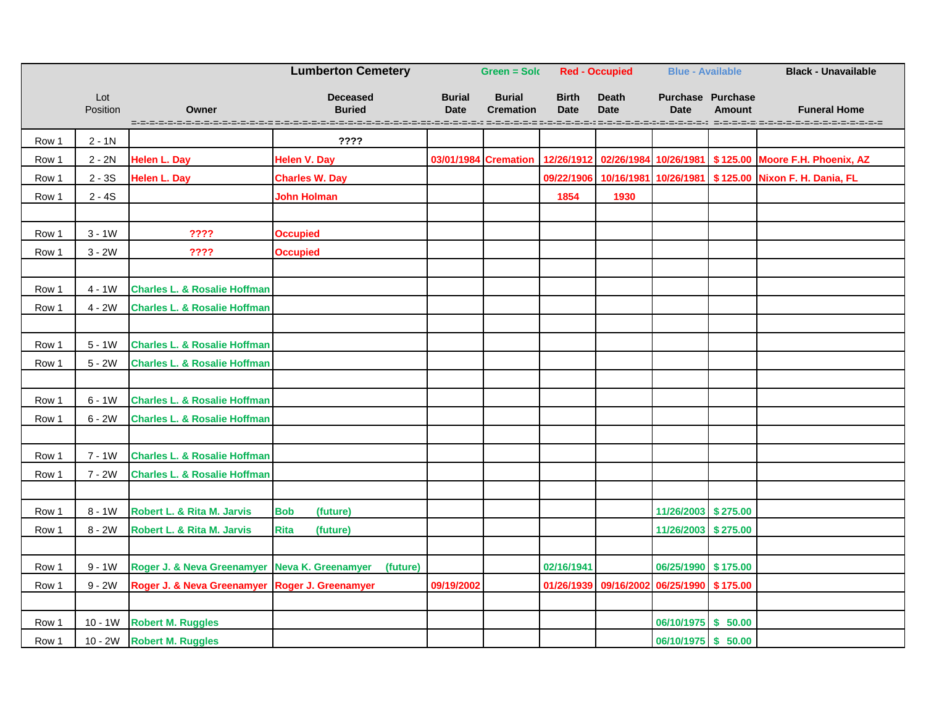|       |                 |                                                | <b>Lumberton Cemetery</b><br><b>Green = Sold</b><br><b>Red - Occupied</b>                                                                                              |                              |                                   | <b>Blue - Available</b>     |                                           | <b>Black - Unavailable</b>              |               |                                                                  |
|-------|-----------------|------------------------------------------------|------------------------------------------------------------------------------------------------------------------------------------------------------------------------|------------------------------|-----------------------------------|-----------------------------|-------------------------------------------|-----------------------------------------|---------------|------------------------------------------------------------------|
|       | Lot<br>Position | Owner                                          | <b>Deceased</b><br><b>Buried</b><br>o concerto de concerto de concerto de concerto de concerto de concerto de concerto de concerto de concerto de concerto de concerto | <b>Burial</b><br><b>Date</b> | <b>Burial</b><br><b>Cremation</b> | <b>Birth</b><br><b>Date</b> | <b>Death</b><br><b>Date</b>               | <b>Purchase Purchase</b><br><b>Date</b> | <b>Amount</b> | <b>Funeral Home</b>                                              |
| Row 1 | $2 - 1N$        |                                                | ????                                                                                                                                                                   |                              |                                   |                             |                                           |                                         |               |                                                                  |
| Row 1 | $2 - 2N$        | <b>Helen L. Day</b>                            | <b>Helen V. Day</b>                                                                                                                                                    | 03/01/1984 Cremation         |                                   |                             |                                           |                                         |               | 12/26/1912 02/26/1984 10/26/1981 \$125.00 Moore F.H. Phoenix, AZ |
| Row 1 | $2 - 3S$        | <b>Helen L. Day</b>                            | <b>Charles W. Day</b>                                                                                                                                                  |                              |                                   |                             |                                           |                                         |               | 09/22/1906 10/16/1981 10/26/1981 \$125.00 Nixon F. H. Dania, FL  |
| Row 1 | $2 - 4S$        |                                                | <b>John Holman</b>                                                                                                                                                     |                              |                                   | 1854                        | 1930                                      |                                         |               |                                                                  |
|       |                 |                                                |                                                                                                                                                                        |                              |                                   |                             |                                           |                                         |               |                                                                  |
| Row 1 | $3 - 1W$        | ????                                           | <b>Occupied</b>                                                                                                                                                        |                              |                                   |                             |                                           |                                         |               |                                                                  |
| Row 1 | $3 - 2W$        | ????                                           | <b>Occupied</b>                                                                                                                                                        |                              |                                   |                             |                                           |                                         |               |                                                                  |
|       |                 |                                                |                                                                                                                                                                        |                              |                                   |                             |                                           |                                         |               |                                                                  |
| Row 1 | $4 - 1W$        | <b>Charles L. &amp; Rosalie Hoffman</b>        |                                                                                                                                                                        |                              |                                   |                             |                                           |                                         |               |                                                                  |
| Row 1 | $4 - 2W$        | <b>Charles L. &amp; Rosalie Hoffman</b>        |                                                                                                                                                                        |                              |                                   |                             |                                           |                                         |               |                                                                  |
|       |                 |                                                |                                                                                                                                                                        |                              |                                   |                             |                                           |                                         |               |                                                                  |
| Row 1 | $5 - 1W$        | <b>Charles L. &amp; Rosalie Hoffman</b>        |                                                                                                                                                                        |                              |                                   |                             |                                           |                                         |               |                                                                  |
| Row 1 | $5 - 2W$        | <b>Charles L. &amp; Rosalie Hoffman</b>        |                                                                                                                                                                        |                              |                                   |                             |                                           |                                         |               |                                                                  |
|       |                 |                                                |                                                                                                                                                                        |                              |                                   |                             |                                           |                                         |               |                                                                  |
| Row 1 | $6 - 1W$        | <b>Charles L. &amp; Rosalie Hoffman</b>        |                                                                                                                                                                        |                              |                                   |                             |                                           |                                         |               |                                                                  |
| Row 1 | $6 - 2W$        | <b>Charles L. &amp; Rosalie Hoffman</b>        |                                                                                                                                                                        |                              |                                   |                             |                                           |                                         |               |                                                                  |
|       |                 |                                                |                                                                                                                                                                        |                              |                                   |                             |                                           |                                         |               |                                                                  |
| Row 1 | $7 - 1W$        | <b>Charles L. &amp; Rosalie Hoffman</b>        |                                                                                                                                                                        |                              |                                   |                             |                                           |                                         |               |                                                                  |
| Row 1 | $7 - 2W$        | <b>Charles L. &amp; Rosalie Hoffman</b>        |                                                                                                                                                                        |                              |                                   |                             |                                           |                                         |               |                                                                  |
|       |                 |                                                |                                                                                                                                                                        |                              |                                   |                             |                                           |                                         |               |                                                                  |
| Row 1 | $8 - 1W$        | Robert L. & Rita M. Jarvis                     | <b>Bob</b><br>(future)                                                                                                                                                 |                              |                                   |                             |                                           | 11/26/2003 \$275.00                     |               |                                                                  |
| Row 1 | $8 - 2W$        | Robert L. & Rita M. Jarvis                     | (future)<br><b>Rita</b>                                                                                                                                                |                              |                                   |                             |                                           | 11/26/2003 \$275.00                     |               |                                                                  |
|       |                 |                                                |                                                                                                                                                                        |                              |                                   |                             |                                           |                                         |               |                                                                  |
| Row 1 | $9 - 1W$        | Roger J. & Neva Greenamyer Neva K. Greenamyer  | (future)                                                                                                                                                               |                              |                                   | 02/16/1941                  |                                           | 06/25/1990 \$175.00                     |               |                                                                  |
| Row 1 | $9 - 2W$        | Roger J. & Neva Greenamyer Roger J. Greenamyer |                                                                                                                                                                        | 09/19/2002                   |                                   |                             | 01/26/1939 09/16/2002 06/25/1990 \$175.00 |                                         |               |                                                                  |
|       |                 |                                                |                                                                                                                                                                        |                              |                                   |                             |                                           |                                         |               |                                                                  |
| Row 1 | $10 - 1W$       | <b>Robert M. Ruggles</b>                       |                                                                                                                                                                        |                              |                                   |                             |                                           | 06/10/1975 \$ 50.00                     |               |                                                                  |
| Row 1 |                 | 10 - 2W Robert M. Ruggles                      |                                                                                                                                                                        |                              |                                   |                             |                                           | 06/10/1975 \$ 50.00                     |               |                                                                  |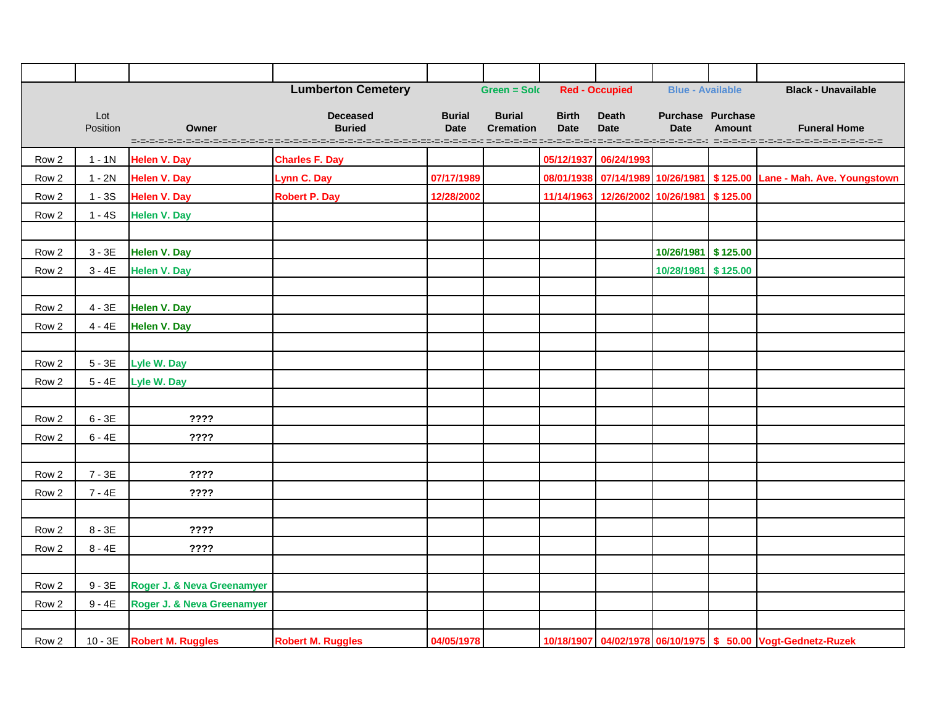|                  |                 |                                       | <b>Lumberton Cemetery</b>                                                                                 |                              | <b>Green = Solo</b>               |                             | <b>Red - Occupied</b>                     | <b>Blue - Available</b>                 |               | <b>Black - Unavailable</b>                                            |
|------------------|-----------------|---------------------------------------|-----------------------------------------------------------------------------------------------------------|------------------------------|-----------------------------------|-----------------------------|-------------------------------------------|-----------------------------------------|---------------|-----------------------------------------------------------------------|
|                  | Lot<br>Position | Owner<br>=-=-=-=-=-=-=-=-=-=-=-=-=-=- | <b>Deceased</b><br><b>Buried</b><br>, 2002 - 2002 - 2002 - 2002 - 2002 - 2002 - 2002 - 2002 - 2002 - 2003 | <b>Burial</b><br><b>Date</b> | <b>Burial</b><br><b>Cremation</b> | <b>Birth</b><br><b>Date</b> | <b>Death</b><br><b>Date</b>               | <b>Purchase Purchase</b><br><b>Date</b> | <b>Amount</b> | <b>Funeral Home</b>                                                   |
| Row 2            | $1 - 1N$        | <b>Helen V. Day</b>                   | <b>Charles F. Day</b>                                                                                     |                              |                                   |                             | 05/12/1937 06/24/1993                     |                                         |               |                                                                       |
| Row 2            | $1 - 2N$        | <b>Helen V. Day</b>                   | Lynn C. Day                                                                                               | 07/17/1989                   |                                   |                             |                                           |                                         |               | 08/01/1938 07/14/1989 10/26/1981 \$125.00 Lane - Mah. Ave. Youngstown |
| Row 2            | $1 - 3S$        | <b>Helen V. Day</b>                   | <b>Robert P. Day</b>                                                                                      | 12/28/2002                   |                                   |                             | 11/14/1963 12/26/2002 10/26/1981 \$125.00 |                                         |               |                                                                       |
| Row <sub>2</sub> | $1 - 4S$        | <b>Helen V. Day</b>                   |                                                                                                           |                              |                                   |                             |                                           |                                         |               |                                                                       |
|                  |                 |                                       |                                                                                                           |                              |                                   |                             |                                           |                                         |               |                                                                       |
| Row <sub>2</sub> | $3 - 3E$        | <b>Helen V. Day</b>                   |                                                                                                           |                              |                                   |                             |                                           | 10/26/1981 \$125.00                     |               |                                                                       |
| Row <sub>2</sub> | $3 - 4E$        | <b>Helen V. Day</b>                   |                                                                                                           |                              |                                   |                             |                                           | 10/28/1981 \$125.00                     |               |                                                                       |
|                  |                 |                                       |                                                                                                           |                              |                                   |                             |                                           |                                         |               |                                                                       |
| Row 2            | $4 - 3E$        | <b>Helen V. Day</b>                   |                                                                                                           |                              |                                   |                             |                                           |                                         |               |                                                                       |
| Row <sub>2</sub> | $4 - 4E$        | <b>Helen V. Day</b>                   |                                                                                                           |                              |                                   |                             |                                           |                                         |               |                                                                       |
|                  |                 |                                       |                                                                                                           |                              |                                   |                             |                                           |                                         |               |                                                                       |
| Row <sub>2</sub> | $5 - 3E$        | Lyle W. Day                           |                                                                                                           |                              |                                   |                             |                                           |                                         |               |                                                                       |
| Row <sub>2</sub> | $5 - 4E$        | Lyle W. Day                           |                                                                                                           |                              |                                   |                             |                                           |                                         |               |                                                                       |
|                  |                 |                                       |                                                                                                           |                              |                                   |                             |                                           |                                         |               |                                                                       |
| Row <sub>2</sub> | $6 - 3E$        | ????                                  |                                                                                                           |                              |                                   |                             |                                           |                                         |               |                                                                       |
| Row <sub>2</sub> | $6 - 4E$        | ????                                  |                                                                                                           |                              |                                   |                             |                                           |                                         |               |                                                                       |
|                  |                 |                                       |                                                                                                           |                              |                                   |                             |                                           |                                         |               |                                                                       |
| Row <sub>2</sub> | $7 - 3E$        | ????                                  |                                                                                                           |                              |                                   |                             |                                           |                                         |               |                                                                       |
| Row <sub>2</sub> | $7 - 4E$        | ????                                  |                                                                                                           |                              |                                   |                             |                                           |                                         |               |                                                                       |
|                  |                 |                                       |                                                                                                           |                              |                                   |                             |                                           |                                         |               |                                                                       |
| Row 2            | $8 - 3E$        | ????                                  |                                                                                                           |                              |                                   |                             |                                           |                                         |               |                                                                       |
| Row 2            | $8 - 4E$        | ????                                  |                                                                                                           |                              |                                   |                             |                                           |                                         |               |                                                                       |
|                  |                 |                                       |                                                                                                           |                              |                                   |                             |                                           |                                         |               |                                                                       |
| Row 2            | $9 - 3E$        | Roger J. & Neva Greenamyer            |                                                                                                           |                              |                                   |                             |                                           |                                         |               |                                                                       |
| Row 2            | $9 - 4E$        | Roger J. & Neva Greenamyer            |                                                                                                           |                              |                                   |                             |                                           |                                         |               |                                                                       |
|                  |                 |                                       |                                                                                                           |                              |                                   |                             |                                           |                                         |               |                                                                       |
| Row 2            |                 | 10 - 3E Robert M. Ruggles             | <b>Robert M. Ruggles</b>                                                                                  | 04/05/1978                   |                                   |                             |                                           |                                         |               | 10/18/1907 04/02/1978 06/10/1975 \$ 50.00 Vogt-Gednetz-Ruzek          |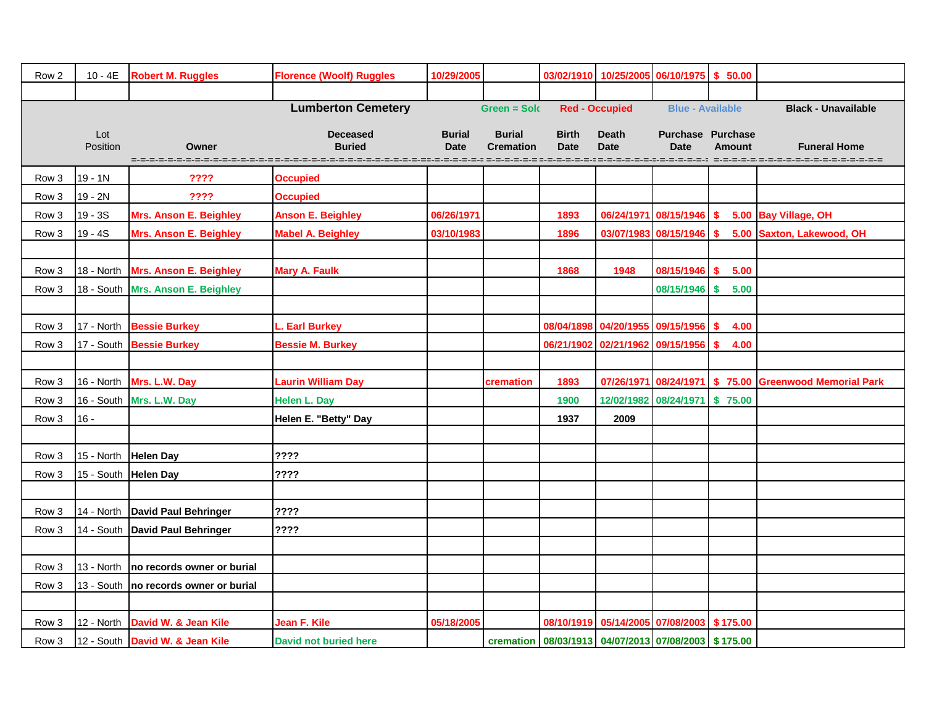| Row <sub>2</sub> | $10 - 4E$       | <b>Robert M. Ruggles</b>                | <b>Florence (Woolf) Ruggles</b>  | 10/29/2005                   |                                   |                                                             |                             | 03/02/1910 10/25/2005 06/10/1975 \$ 50.00       |               |                                                        |
|------------------|-----------------|-----------------------------------------|----------------------------------|------------------------------|-----------------------------------|-------------------------------------------------------------|-----------------------------|-------------------------------------------------|---------------|--------------------------------------------------------|
|                  |                 |                                         |                                  |                              |                                   |                                                             |                             |                                                 |               |                                                        |
|                  |                 |                                         | <b>Lumberton Cemetery</b>        |                              | <b>Green = Sold</b>               |                                                             | <b>Red - Occupied</b>       | <b>Blue - Available</b>                         |               | <b>Black - Unavailable</b>                             |
|                  | Lot<br>Position | Owner<br>=-=-=-=-=-=                    | <b>Deceased</b><br><b>Buried</b> | <b>Burial</b><br><b>Date</b> | <b>Burial</b><br><b>Cremation</b> | <b>Birth</b><br><b>Date</b>                                 | <b>Death</b><br><b>Date</b> | <b>Purchase Purchase</b><br><b>Date</b>         | <b>Amount</b> | <b>Funeral Home</b>                                    |
| Row 3            | $19 - 1N$       | ????                                    | <b>Occupied</b>                  |                              |                                   |                                                             |                             |                                                 |               |                                                        |
| Row 3            | 19 - 2N         | ????                                    | <b>Occupied</b>                  |                              |                                   |                                                             |                             |                                                 |               |                                                        |
| Row 3            | $19 - 3S$       | <b>Mrs. Anson E. Beighley</b>           | <b>Anson E. Beighley</b>         | 06/26/1971                   |                                   | 1893                                                        |                             | 06/24/1971 08/15/1946 \$                        |               | 5.00 Bay Village, OH                                   |
| Row 3            | $19 - 4S$       | <b>Mrs. Anson E. Beighley</b>           | <b>Mabel A. Beighley</b>         | 03/10/1983                   |                                   | 1896                                                        |                             | 03/07/1983 08/15/1946 \$                        |               | 5.00 Saxton, Lakewood, OH                              |
|                  |                 |                                         |                                  |                              |                                   |                                                             |                             |                                                 |               |                                                        |
| Row 3            | 18 - North      | <b>Mrs. Anson E. Beighley</b>           | <b>Mary A. Faulk</b>             |                              |                                   | 1868                                                        | 1948                        | 08/15/1946 \$                                   | 5.00          |                                                        |
| Row 3            |                 | 18 - South   Mrs. Anson E. Beighley     |                                  |                              |                                   |                                                             |                             | 08/15/1946 \$                                   | 5.00          |                                                        |
|                  |                 |                                         |                                  |                              |                                   |                                                             |                             |                                                 |               |                                                        |
| Row 3            |                 | 17 - North Bessie Burkey                | Earl Burkey                      |                              |                                   |                                                             |                             | 08/04/1898 04/20/1955 09/15/1956 \$             | 4.00          |                                                        |
| Row 3            |                 | 17 - South Bessie Burkey                | <b>Bessie M. Burkey</b>          |                              |                                   |                                                             |                             | 06/21/1902 02/21/1962 09/15/1956 \$             | 4.00          |                                                        |
|                  |                 |                                         |                                  |                              |                                   |                                                             |                             |                                                 |               |                                                        |
| Row 3            |                 | 16 - North Mrs. L.W. Day                | <b>Laurin William Day</b>        |                              | cremation                         | 1893                                                        |                             |                                                 |               | 07/26/1971 08/24/1971 \$ 75.00 Greenwood Memorial Park |
| Row 3            |                 | 16 - South Mrs. L.W. Day                | <b>Helen L. Day</b>              |                              |                                   | 1900                                                        |                             | 12/02/1982 08/24/1971 \$75.00                   |               |                                                        |
| Row 3            | $16 -$          |                                         | Helen E. "Betty" Day             |                              |                                   | 1937                                                        | 2009                        |                                                 |               |                                                        |
|                  |                 |                                         |                                  |                              |                                   |                                                             |                             |                                                 |               |                                                        |
| Row 3            | 15 - North      | <b>Helen Day</b>                        | ????                             |                              |                                   |                                                             |                             |                                                 |               |                                                        |
| Row 3            |                 | 15 - South Helen Day                    | ????                             |                              |                                   |                                                             |                             |                                                 |               |                                                        |
|                  |                 |                                         |                                  |                              |                                   |                                                             |                             |                                                 |               |                                                        |
| Row 3            |                 | 14 - North David Paul Behringer         | ????                             |                              |                                   |                                                             |                             |                                                 |               |                                                        |
| Row 3            |                 | 14 - South David Paul Behringer         | ????                             |                              |                                   |                                                             |                             |                                                 |               |                                                        |
|                  |                 |                                         |                                  |                              |                                   |                                                             |                             |                                                 |               |                                                        |
| Row 3            |                 | 13 - North   no records owner or burial |                                  |                              |                                   |                                                             |                             |                                                 |               |                                                        |
| Row 3            |                 | 13 - South   no records owner or burial |                                  |                              |                                   |                                                             |                             |                                                 |               |                                                        |
|                  |                 |                                         |                                  |                              |                                   |                                                             |                             |                                                 |               |                                                        |
| Row 3            | 12 - North      | David W. & Jean Kile                    | Jean F. Kile                     | 05/18/2005                   |                                   |                                                             |                             | 08/10/1919   05/14/2005   07/08/2003   \$175.00 |               |                                                        |
| Row 3            |                 | 12 - South David W. & Jean Kile         | <b>David not buried here</b>     |                              |                                   | cremation   08/03/1913   04/07/2013   07/08/2003   \$175.00 |                             |                                                 |               |                                                        |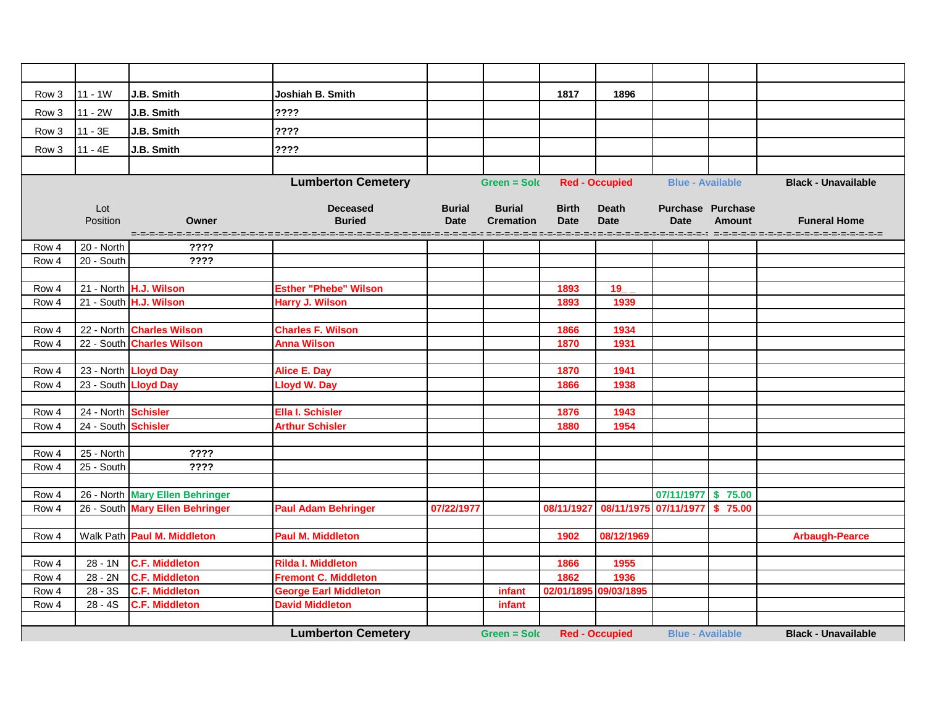| Row 3          | $11 - 1W$                                                                                                                          | J.B. Smith                                     | Joshiah B. Smith                                            |               |                  | 1817         | 1896                                           |                          |               |                            |  |
|----------------|------------------------------------------------------------------------------------------------------------------------------------|------------------------------------------------|-------------------------------------------------------------|---------------|------------------|--------------|------------------------------------------------|--------------------------|---------------|----------------------------|--|
| Row 3          | $11 - 2W$                                                                                                                          | J.B. Smith                                     | ????                                                        |               |                  |              |                                                |                          |               |                            |  |
| Row 3          | $11 - 3E$                                                                                                                          | J.B. Smith                                     | ????                                                        |               |                  |              |                                                |                          |               |                            |  |
| Row 3          | $11 - 4E$                                                                                                                          | J.B. Smith                                     | ????                                                        |               |                  |              |                                                |                          |               |                            |  |
|                |                                                                                                                                    |                                                |                                                             |               |                  |              |                                                |                          |               |                            |  |
|                |                                                                                                                                    |                                                | <b>Lumberton Cemetery</b>                                   |               | Green = Solo     |              | <b>Red - Occupied</b>                          | <b>Blue - Available</b>  |               | <b>Black - Unavailable</b> |  |
|                |                                                                                                                                    |                                                |                                                             |               |                  |              |                                                |                          |               |                            |  |
|                | Lot                                                                                                                                |                                                | <b>Deceased</b>                                             | <b>Burial</b> | <b>Burial</b>    | <b>Birth</b> | <b>Death</b>                                   | <b>Purchase Purchase</b> |               |                            |  |
|                | Position                                                                                                                           | Owner                                          | <b>Buried</b>                                               | <b>Date</b>   | <b>Cremation</b> | <b>Date</b>  | <b>Date</b>                                    | <b>Date</b>              | <b>Amount</b> | <b>Funeral Home</b>        |  |
|                |                                                                                                                                    |                                                |                                                             |               |                  |              |                                                |                          |               |                            |  |
| Row 4          | 20 - North<br>20 - South                                                                                                           | ????<br>????                                   |                                                             |               |                  |              |                                                |                          |               |                            |  |
| Row 4          |                                                                                                                                    |                                                |                                                             |               |                  |              |                                                |                          |               |                            |  |
| Row 4          |                                                                                                                                    | 21 - North H.J. Wilson                         | <b>Esther "Phebe" Wilson</b>                                |               |                  | 1893         | 19                                             |                          |               |                            |  |
| Row 4          |                                                                                                                                    | 21 - South H.J. Wilson                         | <b>Harry J. Wilson</b>                                      |               |                  | 1893         | 1939                                           |                          |               |                            |  |
|                |                                                                                                                                    |                                                |                                                             |               |                  |              |                                                |                          |               |                            |  |
| Row 4          |                                                                                                                                    | 22 - North Charles Wilson                      | <b>Charles F. Wilson</b>                                    |               |                  | 1866         | 1934                                           |                          |               |                            |  |
| Row 4          |                                                                                                                                    | 22 - South Charles Wilson                      | <b>Anna Wilson</b>                                          |               |                  | 1870         | 1931                                           |                          |               |                            |  |
|                |                                                                                                                                    |                                                |                                                             |               |                  |              |                                                |                          |               |                            |  |
| Row 4          |                                                                                                                                    | 23 - North Lloyd Day                           | <b>Alice E. Day</b>                                         |               |                  | 1870         | 1941                                           |                          |               |                            |  |
| Row 4          |                                                                                                                                    | 23 - South Lloyd Day                           | <b>Lloyd W. Day</b>                                         |               |                  | 1866         | 1938                                           |                          |               |                            |  |
|                |                                                                                                                                    |                                                |                                                             |               |                  |              |                                                |                          |               |                            |  |
| Row 4          | 24 - North Schisler                                                                                                                |                                                | <b>Ella I. Schisler</b>                                     |               |                  | 1876         | 1943                                           |                          |               |                            |  |
| Row 4          | 24 - South Schisler                                                                                                                |                                                | <b>Arthur Schisler</b>                                      |               |                  | 1880         | 1954                                           |                          |               |                            |  |
| Row 4          | 25 - North                                                                                                                         | ????                                           |                                                             |               |                  |              |                                                |                          |               |                            |  |
| Row 4          | 25 - South                                                                                                                         | ????                                           |                                                             |               |                  |              |                                                |                          |               |                            |  |
|                |                                                                                                                                    |                                                |                                                             |               |                  |              |                                                |                          |               |                            |  |
| Row 4          |                                                                                                                                    | 26 - North Mary Ellen Behringer                |                                                             |               |                  |              |                                                | 07/11/1977 \$75.00       |               |                            |  |
| Row 4          |                                                                                                                                    | 26 - South Mary Ellen Behringer                | <b>Paul Adam Behringer</b>                                  | 07/22/1977    |                  |              | 08/11/1927   08/11/1975   07/11/1977   \$75.00 |                          |               |                            |  |
|                |                                                                                                                                    |                                                |                                                             |               |                  |              |                                                |                          |               |                            |  |
| Row 4          |                                                                                                                                    | Walk Path Paul M. Middleton                    | <b>Paul M. Middleton</b>                                    |               |                  | 1902         | 08/12/1969                                     |                          |               | <b>Arbaugh-Pearce</b>      |  |
|                |                                                                                                                                    |                                                |                                                             |               |                  |              |                                                |                          |               |                            |  |
| Row 4          | $28 - 1N$                                                                                                                          | <b>C.F. Middleton</b><br><b>C.F. Middleton</b> | <b>Rilda I. Middleton</b>                                   |               |                  | 1866         | 1955                                           |                          |               |                            |  |
| Row 4<br>Row 4 | 28 - 2N<br>$28 - 3S$                                                                                                               | <b>C.F. Middleton</b>                          | <b>Fremont C. Middleton</b><br><b>George Earl Middleton</b> |               | infant           | 1862         | 1936<br>02/01/1895 09/03/1895                  |                          |               |                            |  |
| Row 4          | 28 - 4S                                                                                                                            | <b>C.F. Middleton</b>                          | <b>David Middleton</b>                                      |               | infant           |              |                                                |                          |               |                            |  |
|                |                                                                                                                                    |                                                |                                                             |               |                  |              |                                                |                          |               |                            |  |
|                | <b>Lumberton Cemetery</b><br><b>Red - Occupied</b><br><b>Blue - Available</b><br><b>Black - Unavailable</b><br><b>Green = Sold</b> |                                                |                                                             |               |                  |              |                                                |                          |               |                            |  |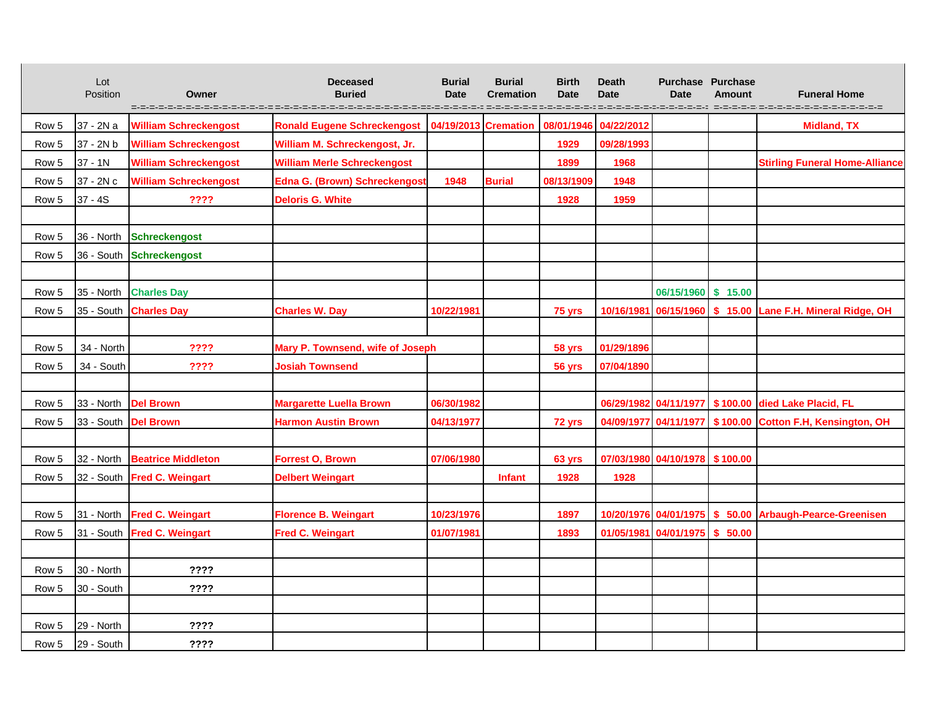|       | Lot<br>Position      | Owner                         | <b>Deceased</b><br><b>Buried</b>     | <b>Burial</b><br><b>Date</b> | <b>Burial</b><br><b>Cremation</b> | <b>Birth</b><br><b>Date</b><br>=-=-=-=-= =-=-=-=-=-=- | <b>Death</b><br><b>Date</b>    | <b>Purchase Purchase</b><br><b>Date</b><br>=-=-=-=-=-=-=-=-=-=-=-=-= | <b>Amount</b> | <b>Funeral Home</b><br>-------------                      |
|-------|----------------------|-------------------------------|--------------------------------------|------------------------------|-----------------------------------|-------------------------------------------------------|--------------------------------|----------------------------------------------------------------------|---------------|-----------------------------------------------------------|
| Row 5 | 37 - 2N a            | <b>William Schreckengost</b>  | <b>Ronald Eugene Schreckengost</b>   | 04/19/2013 Cremation         |                                   | 08/01/1946                                            | 04/22/2012                     |                                                                      |               | <b>Midland, TX</b>                                        |
| Row 5 | 37 - 2N b            | <b>William Schreckengost</b>  | William M. Schreckengost, Jr.        |                              |                                   | 1929                                                  | 09/28/1993                     |                                                                      |               |                                                           |
| Row 5 | 37 - 1N              | <b>William Schreckengost</b>  | <b>William Merle Schreckengost</b>   |                              |                                   | 1899                                                  | 1968                           |                                                                      |               | <b>Stirling Funeral Home-Alliance</b>                     |
| Row 5 | 37 - 2N c            | <b>William Schreckengost</b>  | <b>Edna G. (Brown) Schreckengost</b> | 1948                         | <b>Burial</b>                     | 08/13/1909                                            | 1948                           |                                                                      |               |                                                           |
| Row 5 | $37 - 4S$            | ????                          | <b>Deloris G. White</b>              |                              |                                   | 1928                                                  | 1959                           |                                                                      |               |                                                           |
|       |                      |                               |                                      |                              |                                   |                                                       |                                |                                                                      |               |                                                           |
| Row 5 |                      | 36 - North Schreckengost      |                                      |                              |                                   |                                                       |                                |                                                                      |               |                                                           |
| Row 5 |                      | 36 - South Schreckengost      |                                      |                              |                                   |                                                       |                                |                                                                      |               |                                                           |
|       |                      |                               |                                      |                              |                                   |                                                       |                                |                                                                      |               |                                                           |
| Row 5 |                      | 35 - North Charles Day        |                                      |                              |                                   |                                                       |                                | 06/15/1960 \$ 15.00                                                  |               |                                                           |
| Row 5 |                      | 35 - South <b>Charles Day</b> | <b>Charles W. Day</b>                | 10/22/1981                   |                                   | 75 yrs                                                |                                | 10/16/1981 06/15/1960 \$ 15.00                                       |               | Lane F.H. Mineral Ridge, OH                               |
|       |                      |                               |                                      |                              |                                   |                                                       |                                |                                                                      |               |                                                           |
| Row 5 | 34 - North           | ????                          | Mary P. Townsend, wife of Joseph     |                              |                                   | 58 yrs                                                | 01/29/1896                     |                                                                      |               |                                                           |
| Row 5 | 34 - South           | ????                          | <b>Josiah Townsend</b>               |                              |                                   | 56 yrs                                                | 07/04/1890                     |                                                                      |               |                                                           |
|       |                      |                               |                                      |                              |                                   |                                                       |                                |                                                                      |               |                                                           |
| Row 5 | 33 - North Del Brown |                               | <b>Margarette Luella Brown</b>       | 06/30/1982                   |                                   |                                                       |                                |                                                                      |               | 06/29/1982 04/11/1977   \$100.00 died Lake Placid, FL     |
| Row 5 | 33 - South Del Brown |                               | <b>Harmon Austin Brown</b>           | 04/13/1977                   |                                   | 72 yrs                                                |                                |                                                                      |               | 04/09/1977 04/11/1977 \$100.00 Cotton F.H, Kensington, OH |
|       |                      |                               |                                      |                              |                                   |                                                       |                                |                                                                      |               |                                                           |
| Row 5 |                      | 32 - North Beatrice Middleton | <b>Forrest O, Brown</b>              | 07/06/1980                   |                                   | 63 yrs                                                | 07/03/1980 04/10/1978 \$100.00 |                                                                      |               |                                                           |
| Row 5 |                      | 32 - South Fred C. Weingart   | <b>Delbert Weingart</b>              |                              | <b>Infant</b>                     | 1928                                                  | 1928                           |                                                                      |               |                                                           |
|       |                      |                               |                                      |                              |                                   |                                                       |                                |                                                                      |               |                                                           |
| Row 5 |                      | 31 - North Fred C. Weingart   | <b>Florence B. Weingart</b>          | 10/23/1976                   |                                   | 1897                                                  |                                |                                                                      |               | 10/20/1976 04/01/1975 \$ 50.00 Arbaugh-Pearce-Greenisen   |
| Row 5 |                      | 31 - South Fred C. Weingart   | <b>Fred C. Weingart</b>              | 01/07/1981                   |                                   | 1893                                                  |                                | 01/05/1981 04/01/1975 \$ 50.00                                       |               |                                                           |
|       |                      |                               |                                      |                              |                                   |                                                       |                                |                                                                      |               |                                                           |
| Row 5 | 30 - North           | ????                          |                                      |                              |                                   |                                                       |                                |                                                                      |               |                                                           |
| Row 5 | 30 - South           | ????                          |                                      |                              |                                   |                                                       |                                |                                                                      |               |                                                           |
|       |                      |                               |                                      |                              |                                   |                                                       |                                |                                                                      |               |                                                           |
| Row 5 | 29 - North           | ????                          |                                      |                              |                                   |                                                       |                                |                                                                      |               |                                                           |
| Row 5 | 29 - South           | ????                          |                                      |                              |                                   |                                                       |                                |                                                                      |               |                                                           |

 $\blacksquare$